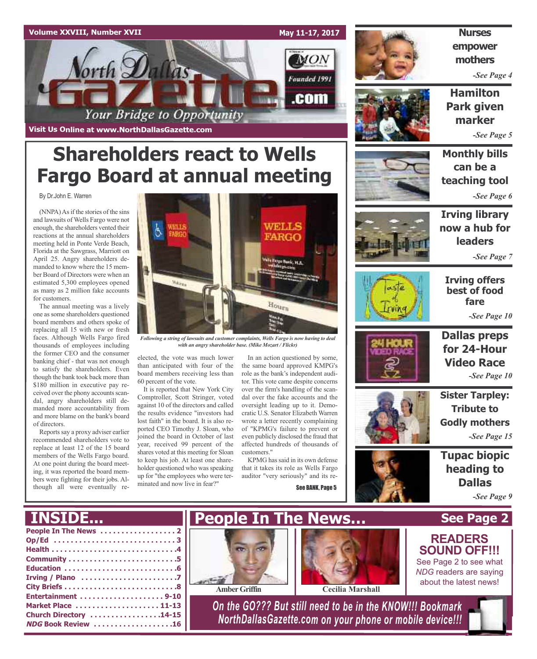

# **Shareholders react to Wells Fargo Board at annual meeting**

By Dr.John E. Warren

(NNPA) As if the stories of the sins and lawsuits of Wells Fargo were not enough, the shareholders vented their reactions at the annual shareholders meeting held in Ponte Verde Beach, Florida at the Sawgrass, Marriott on April 25. Angry shareholders demanded to know where the 15 member Board of Directors were when an estimated 5,300 employees opened as many as 2 million fake accounts for customers.

The annual meeting was a lively one assome shareholders questioned board members and others spoke of replacing all 15 with new or fresh faces. Although Wells Fargo fired thousands of employees including the former CEO and the consumer banking chief - that was not enough to satisfy the shareholders. Even though the bank took back more than \$180 million in executive pay received over the phony accounts scandal, angry shareholders still demanded more accountability from and more blame on the bank's board of directors.

Reports say a proxy adviser earlier recommended shareholders vote to replace at least 12 of the 15 board members of the Wells Fargo board. At one point during the board meeting, it was reported the board members were fighting for their jobs. Although all were eventually re-



*Following a string of lawsuits and customer complaints, Wells Fargo is now having to deal with an angry shareholder base. (Mike Mozart / Flickr)*

elected, the vote was much lower than anticipated with four of the board members receiving less than 60 percent of the vote.

It is reported that New York City Comptroller, Scott Stringer, voted against 10 of the directors and called the results evidence "investors had lost faith" in the board. It is also reported CEO Timothy J. Sloan, who joined the board in October of last year, received 99 percent of the shares voted at this meeting for Sloan to keep his job. At least one shareholder questioned who was speaking up for "the employees who were terminated and now live in fear?"

In an action questioned by some, the same board approved KMPG's role as the bank's independent auditor. This vote came despite concerns over the firm's handling of the scandal over the fake accounts and the oversight leading up to it. Democratic U.S. Senator Elizabeth Warren wrote a letter recently complaining of "KPMG's failure to prevent or even publicly disclosed the fraud that affected hundreds of thousands of customers."

KPMG has said in its own defense that it takes its role as Wells Fargo auditor "very seriously" and its re-

See BANK, Page 5



**empower mothers** *-See Page 4*

**Hamilton Park given marker**

*-See Page 5*

**Monthly bills can be a teaching tool** *-See Page 6*

**Irving library now a hub for leaders**

*-See Page 7*



**Irving offers best of food fare** *-See Page 10*



**for 24-Hour Video Race** *-See Page 10*

**Dallas preps**

**Sister Tarpley: Tribute to Godly mothers** *-See Page 15*

**Tupac biopic heading to Dallas** *-See Page 9*

**READERS SOUND OFF!!!** See Page 2 to see what *NDG* readers are saying

## **INSIDE...**

| Entertainment 9-10     |
|------------------------|
| Market Place  11-13    |
| Church Directory 14-15 |
| NDG Book Review 16     |





**AmberGriffin Cecilia Marshall**

*On the GO??? But still need to be in the KNOW!!! Bookmark NorthDallasGazette.com on your phone or mobile device!!!*



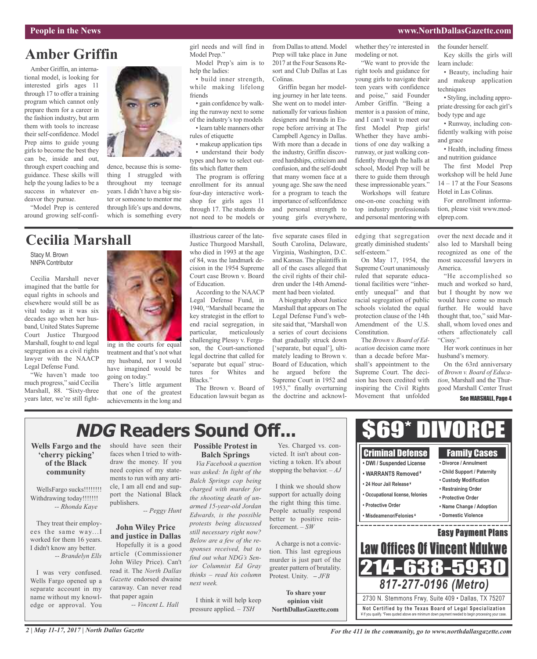learn include:

the founder herself.

## **Amber Griffin**

Amber Griffin, an international model, is looking for interested girls ages 11 through 17 to offer a training program which cannot only prepare them for a career in the fashion industry, but arm them with tools to increase their self-confidence. Model Prep aims to guide young girls to become the best they can be, inside and out, through expert coaching and guidance. These skills will help the young ladies to be a success in whatever endeavor they pursue.

"Model Prep is centered around growing self-confi-

dence, because this is something I struggled with throughout my teenage years. I didn't have a big sister or someone to mentor me through life's ups and downs, which is something every

girl needs and will find in Model Prep." Model Prep's aim is to

help the ladies: • build inner strength, while making lifelong friends

• gain confidence by walking the runway next to some of the industry's top models • learn table manners other

rules of etiquette • makeup application tips

• understand their body types and how to select outfits which flatter them

The program is offering enrollment for its annual four-day interactive workshop for girls ages 11 through 17. The students do not need to be models or

from Dallas to attend. Model Prep will take place in June 2017 at the Four Seasons Resort and Club Dallas at Las Colinas.

Griffin began her modeling journey in her late teens. She went on to model internationally for various fashion designers and brands in Europe before arriving at The Campbell Agency in Dallas. With more than a decade in the industry, Griffin discovered hardships, criticism and confusion, and the self-doubt that many women face at a young age. She saw the need for a program to teach the importance of selfconfidence and personal strength to young girls everywhere,

whether they're interested in modeling or not.

"We want to provide the right tools and guidance for young girls to navigate their teen years with confidence and poise," said Founder Amber Griffin. "Being a mentor is a passion of mine, and I can't wait to meet our first Model Prep girls! Whether they have ambitions of one day walking a runway, or just walking confidently through the halls at school, Model Prep will be there to guide them through these impressionable years."

Workshops will feature one-on-one coaching with top industry professionals and personal mentoring with techniques • Styling, including appropriate dressing for each girl's body type and age

Key skills the girls will

• Beauty, including hair and makeup application

• Runway, including confidently walking with poise and grace

• Health, including fitness and nutrition guidance

The first Model Prep workshop will be held June 14 – 17 at the Four Seasons Hotel in Las Colinas.

For enrollment information, please visit www.modelprep.com.

## **Cecilia Marshall**

Stacy M. Brown NNPA Contributor

Cecilia Marshall never imagined that the battle for equal rights in schools and elsewhere would still be as vital today as it was six decades ago when her husband, United States Supreme Court Justice Thurgood Marshall, fought to end legal segregation as a civil rights lawyer with the NAACP Legal Defense Fund.

"We haven't made too much progress," said Cecilia Marshall, 88. "Sixty-three years later, we're still fight-



ing in the courts for equal treatment and that's not what my husband, nor I would have imagined would be going on today."

There's little argument that one of the greatest achievements in the long and illustrious career of the late-Justice Thurgood Marshall, who died in 1993 at the age of 84, was the landmark decision in the 1954 Supreme Court case Brown v. Board of Education.

According to the NAACP Legal Defense Fund, in 1940, "Marshall became the key strategist in the effort to end racial segregation, in<br>particular, meticulously meticulously challenging Plessy v. Ferguson, the Court-sanctioned legal doctrine that called for 'separate but equal' structures for Whites and Blacks."

The Brown v. Board of Education lawsuit began as five separate cases filed in South Carolina, Delaware, Virginia, Washington, D.C. and Kansas. The plaintiffs in all of the cases alleged that the civil rights of their children under the 14th Amendment had been violated.

A biography about Justice Marshall that appears on The Legal Defense Fund's website said that, "Marshall won a series of court decisions that gradually struck down ['separate, but equal'], ultimately leading to Brown v. Board of Education, which he argued before the Supreme Court in 1952 and 1953," finally overturning the doctrine and acknowledging that segregation greatly diminished students' self-esteem."

On May 17, 1954, the Supreme Court unanimously ruled that separate educational facilities were "inherently unequal" and that racial segregation of public schools violated the equal protection clause of the 14th Amendment of the U.S. Constitution.

The *Brown v. Board of Education* decision came more than a decade before Marshall's appointment to the Supreme Court. The decision has been credited with inspiring the Civil Rights Movement that unfolded

over the next decade and it also led to Marshall being recognized as one of the most successful lawyers in America.

"He accomplished so much and worked so hard, but I thought by now we would have come so much further. He would have thought that, too," said Marshall, whom loved ones and others affectionately call "Cissy."

Her work continues in her husband's memory.

On the 63rd anniversary of *Brown v. Board of Education*, Marshall and the Thurgood Marshall Center Trust

#### See MARSHALL, Page 4

# **NDG Readers Sound Off...**

**Wells Fargo and the 'cherry picking' of the Black community**

WellsFargo sucks!!!!!!!!! Withdrawing today!!!!!!! *-- Rhonda Kaye*

They treat their employees the same way...I worked for them 16 years. I didn't know any better. *-- Brandelyn Ells*

I was very confused. Wells Fargo opened up a separate account in my name without my knowledge or approval. You should have seen their faces when I tried to withdraw the money. If you need copies of my statements to run with any article, I am all end and support the National Black publishers.

*-- Peggy Hunt*

## **John Wiley Price and justice in Dallas**

Hopefully it is a good article (Commissioner John Wiley Price). Can't read it. The *North Dallas Gazette* endorsed dwaine caraway. Can never read that paper again *-- Vincent L. Hall*

## **Possible Protest in Balch Springs**

*Via Facebook a question was asked: In light of the Balch Springs cop being charged with murder for the shooting death of unarmed 15-year-old Jordan Edwards, is the possible protests being discussed still necessary right now? Below are a few of the responses received, but to find out what NDG's Senior Columnist Ed Gray thinks – read his column next week.*

I think it will help keep pressure applied. – *TSH*

Yes. Charged vs. convicted. It isn't about convicting a token. It's about stopping the behavior. – *AJ*

I think we should show support for actually doing the right thing this time. People actually respond better to positive reinforcement. – *SW*

A charge is not a conviction. This last egregious murder is just part of the greater pattern of brutality. Protest. Unity. **–** *JFB*

**To share your opinion visit NorthDallasGazette.com**



*For the 411 in the community, go to www.northdallasgazette.com*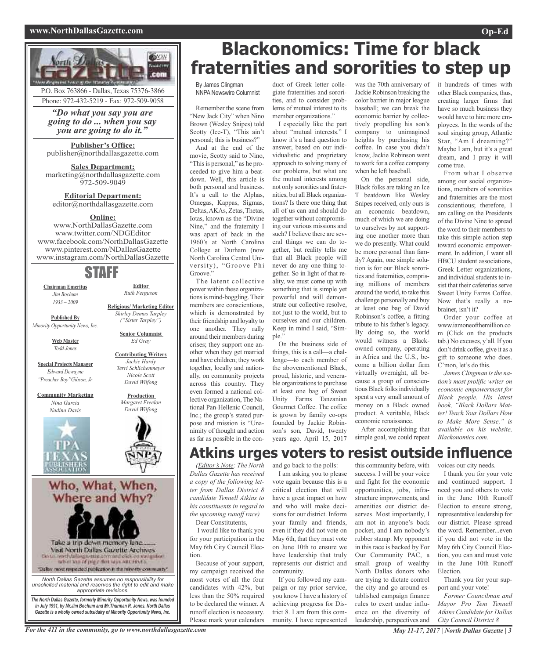#### **www.NorthDallasGazette.com Op-Ed**





*The North Dallas Gazette, formerly Minority Opportunity News, was founded in July 1991, by Mr.Jim Bochum and Mr.Thurman R. Jones. North Dallas Gazette is a wholly owned subsidairy of Minority Opportunity News, Inc.*

# **Blackonomics: Time for black fraternities and sororities to step up**

By James Clingman **NNPA Newswire Columnist** 

Remember the scene from "New Jack City" when Nino Brown (Wesley Snipes) told Scotty (Ice-T), "This ain't personal; this is business?"

And at the end of the movie, Scotty said to Nino, "This is personal," as he proceeded to give him a beatdown. Well, this article is both personal and business. It's a call to the Alphas, Omegas, Kappas, Sigmas, Deltas,AKAs, Zetas, Thetas, Iotas, known as the "Divine Nine," and the fraternity I was apart of back in the 1960's at North Carolina College at Durham (now North Carolina Central University), "Groove Phi Groove.'

The latent collective power within these organizations is mind-boggling. Their members are conscientious, which is demonstrated by their friendship and loyalty to one another. They rally around their members during crises; they support one another when they get married and have children; they work together, locally and nationally, on community projects across this country. They even formed a national collective organization, The National Pan-Hellenic Council, Inc.; the group's stated purpose and mission is "Unanimity of thought and action as far as possible in the conduct of Greek letter collegiate fraternities and sororities, and to consider problems of mutual interest to its member organizations."

I especially like the part about "mutual interests." I know it's a hard question to answer, based on our individualistic and proprietary approach to solving many of our problems, but what are the mutual interests among not only sororities and fraternities, but all Black organizations? Is there one thing that all of us can and should do together without compromising our various missions and such? I believe there are several things we can do together, but reality tells me that all Black people will never do any one thing together. So in light of that reality, we must come up with something that is simple yet powerful and will demonstrate our collective resolve, not just to the world, but to ourselves and our children. Keep in mind I said, "Simple."

On the business side of things, this is a call—a challenge—to each member of the abovementioned Black, proud, historic, and venerable organizations to purchase at least one bag of Sweet Unity Farms Tanzanian Gourmet Coffee. The coffee is grown by family co-ops founded by Jackie Robinson's son, David, twenty years ago. April 15, 2017

was the 70th anniversary of Jackie Robinson breaking the color barrier in major league baseball; we can break the economic barrier by collectively propelling his son's company to unimagined heights by purchasing his coffee. In case you didn't know, Jackie Robinson went to work for a coffee company when he left baseball.

On the personal side, Black folks are taking an Ice T beatdown like Wesley Snipes received, only ours is an economic beatdown, much of which we are doing to ourselves by not supporting one another more than we do presently. What could be more personal than family? Again, one simple solution is for our Black sororities and fraternities, comprising millions of members around the world, to take this challenge personally and buy at least one bag of David Robinson's coffee, a fitting tribute to his father's legacy. By doing so, the world would witness a Blackowned company, operating in Africa and the U.S., become a billion dollar firm virtually overnight, all because a group of conscientious Black folks individually spent a very small amount of money on a Black owned product. A veritable, Black economic renaissance.

After accomplishing that simple goal, we could repeat it hundreds of times with other Black companies, thus, creating larger firms that have so much business they would have to hire more employees. In the words of the soul singing group, Atlantic Star, "Am I dreaming?" Maybe I am, but it's a great dream, and I pray it will come true.

From what I observe among our social organizations, members of sororities and fraternities are the most conscientious; therefore, I am calling on the Presidents of the Divine Nine to spread the word to their members to take this simple action step toward economic empowerment. In addition, I want all HBCU student associations, Greek Letter organizations, and individual students to insist that their cafeterias serve Sweet Unity Farms Coffee. Now that's really a nobrainer, isn't it?

Order your coffee at www.iamoneofthemillion.co m (Click on the products tab.) No excuses, y'all. If you don't drink coffee, give it as a gift to someone who does. C'mon, let's do this.

*James Clingman isthe nation's most prolific writer on economic empowerment for Black people. His latest book, "Black Dollars Matter! Teach Your Dollars How to Make More Sense," is available on his website, Blackonomics.com.*

**Atkins urges voters to resist outside influence**

*(Editor's Note: The North Dallas Gazette has received a copy of the following letter from Dallas District 8 candidate Tennell Atkins to his constituents in regard to the upcoming runoff race)*

Dear Constitutents,

I would like to thank you for your participation in the May 6th City Council Election.

Because of your support, my campaign received the most votes of all the four candidates with 42%, but less than the 50% required to be declared the winner. A runoff election is necessary. Please mark your calendars

and go back to the polls:

I am asking you to please vote again because this is a critical election that will have a great impact on how and who will make decisions for our district. Inform your family and friends, even if they did not vote on May 6th, that they must vote on June 10th to ensure we have leadership that truly represents our district and community.

If you followed my campaign or my prior service, you know I have a history of achieving progress for District 8. I am from this community. I have represented

this community before, with success. I will be your voice and fight for the economic opportunities, jobs, infrastructure improvements, and amenities our district deserves. Most importantly, I am not in anyone's back pocket, and I am nobody's rubber stamp. My opponent in this race is backed by For Our Community PAC, a small group of wealthy North Dallas donors who are trying to dictate control the city and go around established campaign finance rules to exert undue influence on the diversity of leadership, perspectives and

voices our city needs.

I thank you for your vote and continued support. I need you and others to vote in the June 10th Runoff Election to ensure strong, representative leadership for our district. Please spread the word. Remember...even if you did not vote in the May 6th City Council Election, you can and must vote in the June 10th Runoff Election.

Thank you for your support and your vote!

*Former Councilman and Mayor Pro Tem Tennell Atkins Candidate for Dallas City Council District 8*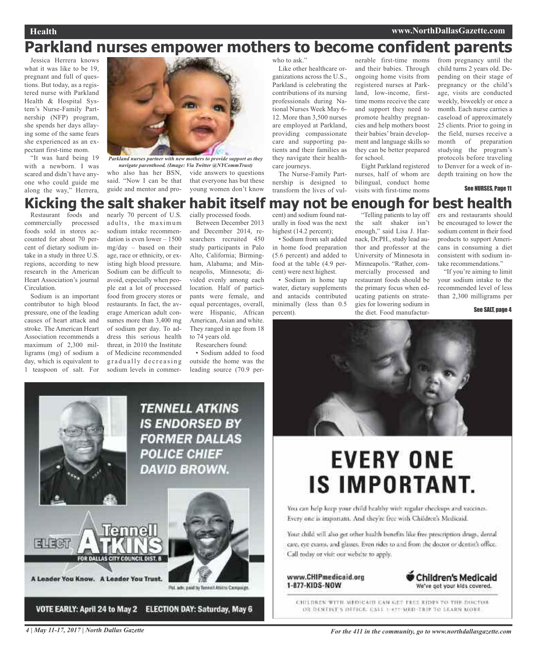## **Health www.NorthDallasGazette.com**

## **Parkland nurses empower mothers to become confident parents**

Jessica Herrera knows what it was like to be 19, pregnant and full of questions. But today, as a registered nurse with Parkland Health & Hospital System's Nurse-Family Partnership (NFP) program, she spends her days allaying some of the same fears she experienced as an expectant first-time mom.

"It was hard being 19 with a newborn. I was scared and didn't have anyone who could guide me along the way," Herrera,



who also has her BSN, vide answers to questions *Parkland nurses partner with new mothers to provide support as they navigate parenthood. (Image: Via Twitter @NYCommTrust)*

said. "Now I can be that guide and mentor and prothat everyone has but these young women don't know

who to ask.' Like other healthcare organizations across the U.S., Parkland is celebrating the contributions of its nursing professionals during National Nurses Week May 6- 12. More than 3,500 nurses are employed at Parkland, providing compassionate care and supporting patients and their families as they navigate their healthcare journeys.

The Nurse-Family Partnership is designed to transform the lives of vul-

nerable first-time moms and their babies. Through ongoing home visits from registered nurses at Parkland, low-income, firsttime moms receive the care and support they need to promote healthy pregnancies and help mothers boost their babies' brain development and language skills so they can be better prepared for school.

Eight Parkland registered nurses, half of whom are bilingual, conduct home visits with first-time moms

from pregnancy until the child turns 2 years old. Depending on their stage of pregnancy or the child's age, visits are conducted weekly, biweekly or once a month. Each nurse carries a caseload of approximately 25 clients. Prior to going in the field, nurses receive a month of preparation studying the program's protocols before traveling to Denver for a week of indepth training on how the

See NURSES, Page 11

## **Kicking the salt shaker habit itself may not be enough for best health**

Restaurant foods and commercially processed foods sold in stores accounted for about 70 percent of dietary sodium intake in a study in three U.S. regions, according to new research in the American Heart Association's journal Circulation.

Sodium is an important contributor to high blood pressure, one of the leading causes of heart attack and stroke. The American Heart Association recommends a maximum of 2,300 milligrams (mg) of sodium a day, which is equivalent to 1 teaspoon of salt. For

nearly 70 percent of U.S. adults, the maximum sodium intake recommendation is even lower – 1500 mg/day – based on their age, race or ethnicity, or existing high blood pressure. Sodium can be difficult to avoid, especially when people eat a lot of processed food from grocery stores or restaurants. In fact, the average American adult consumes more than 3,400 mg of sodium per day. To address this serious health threat, in 2010 the Institute of Medicine recommended gradually decreasing sodium levels in commer-

cially processed foods.

Between December 2013 and December 2014, researchers recruited 450 study participants in Palo Alto, California; Birmingham, Alabama; and Minneapolis, Minnesota; divided evenly among each location. Half of participants were female, and equal percentages, overall, were Hispanic, African American, Asian and white. They ranged in age from 18 to 74 years old.

Researchers found:

• Sodium added to food outside the home was the leading source (70.9 per-

cent) and sodium found naturally in food was the next highest (14.2 percent);

• Sodium from salt added in home food preparation (5.6 percent) and added to food at the table (4.9 percent) were next highest.

• Sodium in home tap water, dietary supplements and antacids contributed minimally (less than 0.5 percent).

"Telling patients to lay off the salt shaker isn't enough," said Lisa J. Harnack, Dr.PH., study lead author and professor at the University of Minnesota in Minneapolis. "Rather, commercially processed and restaurant foods should be the primary focus when educating patients on strategies for lowering sodium in the diet. Food manufacturers and restaurants should be encouraged to lower the sodium content in their food products to support Americans in consuming a diet consistent with sodium intake recommendations."

"If you're aiming to limit your sodium intake to the recommended level of less than 2,300 milligrams per

#### See SALT, page 4





# **EVERY ONE IS IMPORTANT.**

You can help keep your child healthy with regular checkups and vaccines. Every one is important. And they're free with Children's Medicaid.

Your child will also get other health benefits like free prescription drugs, dental care, eye exams, and glasses. Even rides to and from the doctor or dentist's office. Call today or visit our website to apply.

www.CHIPmedicaid.org 1-877-KIDS-NOW



CHILDREN WITH MEDICAIN CAN GET FREE RIDES TO THE DOCTOR DR DENTIST'S DEFICE. CALL 1-477-MED-TRIP TO LEARN MORE.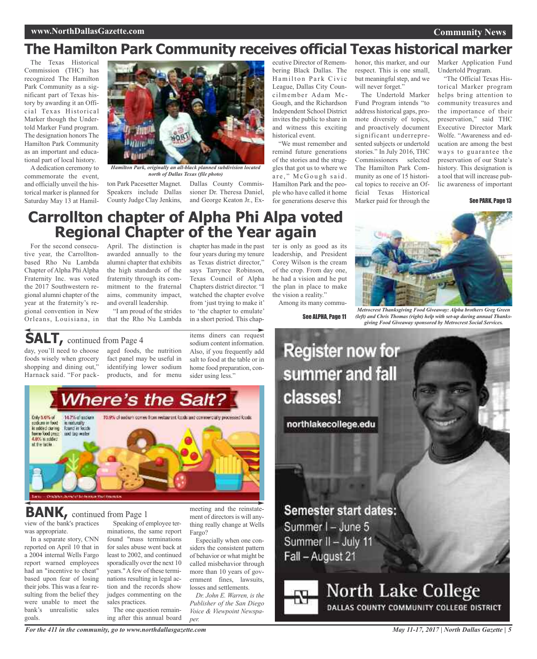## **The Hamilton Park Community receives official Texas historical marker**

The Texas Historical Commission (THC) has recognized The Hamilton Park Community as a significant part of Texas history by awarding it an Official Texas Historical Marker though the Undertold Marker Fund program. The designation honors The Hamilton Park Community as an important and educational part of local history.

A dedication ceremony to commemorate the event, and officially unveil the historical marker is planned for Saturday May 13 at Hamil-



*Hamilton Park, originally an all-black planned subdivision located north of Dallas Texas (file photo)*

ton Park Pacesetter Magnet. Speakers include Dallas County Judge Clay Jenkins,

Dallas County Commissioner Dr. Theresa Daniel, and George Keaton Jr., Ex-

chapter has made in the past four years during my tenure as Texas district director," says Tarrynce Robinson, Texas Council of Alpha Chapters district director. "I watched the chapter evolve from 'just trying to make it' to 'the chapter to emulate' in a short period. This chapecutive Director of Remembering Black Dallas. The Hamilton Park Civic League, Dallas City Councilmember Adam Mc-Gough, and the Richardson Independent School District invites the public to share in and witness this exciting historical event.

"We must remember and remind future generations of the stories and the struggles that got us to where we are," McGough said. Hamilton Park and the people who have called it home for generations deserve this

honor, this marker, and our respect. This is one small, but meaningful step, and we will never forget."

The Undertold Marker Fund Program intends "to address historical gaps, promote diversity of topics, and proactively document significant underrepresented subjects or undertold stories." In July 2016, THC Commissioners selected The Hamilton Park Community as one of 15 historical topics to receive an Official Texas Historical Marker paid for through the

Marker Application Fund Undertold Program.

"The Official Texas Historical Marker program helps bring attention to community treasures and the importance of their preservation," said THC Executive Director Mark Wolfe. "Awareness and education are among the best ways to guarantee the preservation of our State's history. This designation is a tool that will increase public awareness of important

#### See PARK, Page 13

## **Carrollton chapter of Alpha Phi Alpa voted Regional Chapter of the Year again**

For the second consecutive year, the Carrolltonbased Rho Nu Lambda Chapter of Alpha Phi Alpha Fraternity Inc. was voted the 2017 Southwestern regional alumni chapter of the year at the fraternity's regional convention in New Orleans, Louisiana, in April. The distinction is awarded annually to the alumni chapter that exhibits the high standards of the fraternity through its commitment to the fraternal aims, community impact, and overall leadership.

"I am proud of the strides that the Rho Nu Lambda

## **SALT,** continued from Page <sup>4</sup>

day, you'll need to choose foods wisely when grocery shopping and dining out," Harnack said. "For pack-

aged foods, the nutrition fact panel may be useful in identifying lower sodium products, and for menu

items diners can request sodium content information. Also, if you frequently add salt to food at the table or in home food preparation, consider using less."

# **Where's the Salt?**



## **BANK**, continued from Page 1

view of the bank's practices was appropriate.

In a separate story, CNN reported on April 10 that in a 2004 internal Wells Fargo report warned employees had an "incentive to cheat" based upon fear of losing their jobs. This was a fear resulting from the belief they were unable to meet the bank's unrealistic sales goals.

Speaking of employee terminations, the same report found "mass terminations for sales abuse went back at least to 2002, and continued sporadically over the next 10 years." A few of these terminations resulting in legal action and the records show judges commenting on the sales practices.

The one question remaining after this annual board meeting and the reinstatement of directors is will anything really change at Wells Fargo?

Especially when one considers the consistent pattern of behavior or what might be called misbehavior through more than 10 years of government fines, lawsuits, losses and settlements.

*Dr. John E. Warren, is the Publisher of the San Diego Voice & Viewpoint Newspaper.*

ter is only as good as its leadership, and President Corey Wilson is the cream of the crop. From day one, he had a vision and he put the plan in place to make the vision a reality." Among its many commu-

See ALPHA, Page 11



*Metrocrest Thanksgiving Food Giveaway: Alpha brothers Greg Green (left) and Chris Thomas (right) help with set-up during annual Thanksgiving Food Giveaway sponsored by Metrocrest Social Services.*



**North Lake College** DALLAS COUNTY COMMUNITY COLLEGE DISTRICT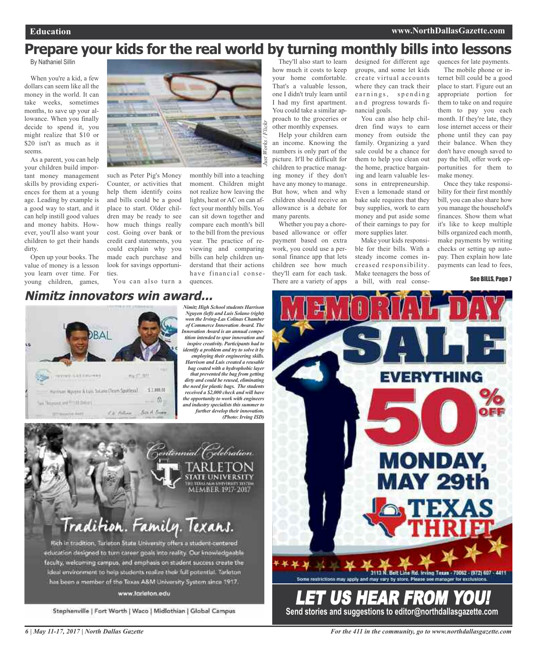## **Prepare your kids for the real world by turning monthly bills into lessons**

*Just Works / Flickr*

By Nathaniel Sillin

When you're a kid, a few dollars can seem like all the money in the world. It can take weeks, sometimes months, to save up your allowance. When you finally decide to spend it, you might realize that \$10 or \$20 isn't as much as it seems.

As a parent, you can help your children build important money management skills by providing experiences for them at a young age. Leading by example is a good way to start, and it can help instill good values and money habits. However, you'll also want your children to get their hands dirty.

Open up your books. The value of money is a lesson you learn over time. For young children, games,



such as Peter Pig's Money Counter, or activities that help them identify coins and bills could be a good place to start. Older children may be ready to see how much things really cost. Going over bank or credit card statements, you could explain why you made each purchase and look for savings opportunities.

Tradition. Family. Texans.

Rich in tradition, Tarleton State University offers a student-centered education designed to turn career goals into reality. Our knowledgeable faculty, welcoming campus, and emphasis on student success create the ideal environment to help students realize their full patential. Tarleton

has been a member of the Texas A&M University System since 1917. www.farieton.edu

Stephenville | Fort Worth | Waco | Midlothian | Global Campus

You can also turn a quences. monthly bill into a teaching moment. Children might not realize how leaving the lights, heat or AC on can affect your monthly bills. You can sit down together and compare each month's bill to the bill from the previous year. The practice of reviewing and comparing bills can help children understand that their actions have financial conse-

They'll also start to learn how much it costs to keep your home comfortable. That's a valuable lesson, one I didn't truly learn until I had my first apartment. You could take a similar approach to the groceries or other monthly expenses.

Help your children earn an income. Knowing the numbers is only part of the picture. It'll be difficult for children to practice managing money if they don't have any money to manage. But how, when and why children should receive an allowance is a debate for many parents.

Whether you pay a chorebased allowance or offer payment based on extra work, you could use a personal finance app that lets children see how much they'll earn for each task. There are a variety of apps

designed for different age groups, and some let kids create virtual accounts where they can track their earnings, spending and progress towards financial goals.

You can also help children find ways to earn money from outside the family. Organizing a yard sale could be a chance for them to help you clean out the home, practice bargaining and learn valuable lessons in entrepreneurship. Even a lemonade stand or bake sale requires that they buy supplies, work to earn money and put aside some of their earnings to pay for more supplies later.

Make your kids responsible for their bills. With a steady income comes increased responsibility. Make teenagers the boss of a bill, with real consequences for late payments.

The mobile phone or internet bill could be a good place to start. Figure out an appropriate portion for them to take on and require them to pay you each month. If they're late, they lose internet access or their phone until they can pay their balance. When they don't have enough saved to pay the bill, offer work opportunities for them to make money.

Once they take responsibility for their first monthly bill, you can also share how you manage the household's finances. Show them what it's like to keep multiple bills organized each month, make payments by writing checks or setting up autopay. Then explain how late payments can lead to fees,

#### See BILLS, Page 7

**Nimitz innovators win award...**



*Nimitz High School students Harrison Nguyen (left) and Luis Solano (right) won the Irving-Las Colinas Chamber of Commerce InnovationAward. The InnovationAward is an annual competition intended to spur innovation and inspire creativity. Participants had to identify a problem and try to solve it by employing their engineering skills. Harrison and Luis created a reusable bag coated with a hydrophobic layer that prevented the bag from getting dirty and could be reused, eliminating the need for plastic bags. The students received a \$2,000 check and will have the opportunity to work with engineers and industry specialists this summer to further develop their innovation. (Photo: Irving ISD)*

entennial (Felebration

**STATE UNIVERSITY MLMBER 1917-2017** 



*6 | May 11-17, 2017 | North Dallas Gazette*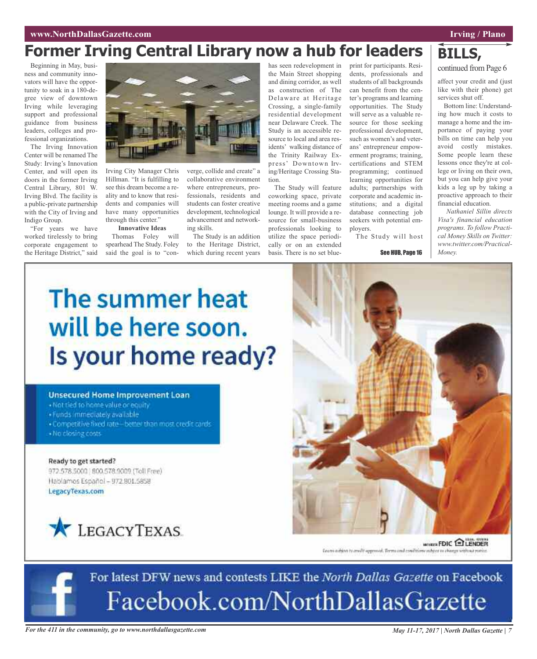## **Former Irving Central Library now a hub for leaders**

Beginning in May, business and community innovators will have the opportunity to soak in a 180-degree view of downtown Irving while leveraging support and professional guidance from business leaders, colleges and professional organizations.

The Irving Innovation Center will be renamed The Study: Irving's Innovation Center, and will open its doors in the former Irving Central Library, 801 W. Irving Blvd. The facility is a public-private partnership with the City of Irving and Indigo Group.

"For years we have worked tirelessly to bring corporate engagement to the Heritage District," said



Irving City Manager Chris Hillman. "It is fulfilling to see this dream become a reality and to know that residents and companies will have many opportunities through this center."

### **Innovative Ideas**

Thomas Foley will spearhead The Study. Foley said the goal is to "con-

verge, collide and create" a collaborative environment where entrepreneurs, professionals, residents and students can foster creative development, technological advancement and networking skills.

The Study is an addition to the Heritage District, which during recent years

has seen redevelopment in the Main Street shopping and dining corridor, as well as construction of The Delaware at Heritage Crossing, a single-family residential development near Delaware Creek. The Study is an accessible resource to local and area residents' walking distance of the Trinity Railway Express' Downtown Irving/Heritage Crossing Station.

The Study will feature coworking space, private meeting rooms and a game lounge. It will provide a resource for small-business professionals looking to utilize the space periodically or on an extended basis. There is no set blue-

print for participants. Residents, professionals and students of all backgrounds can benefit from the center's programs and learning opportunities. The Study will serve as a valuable resource for those seeking professional development, such as women's and veterans' entrepreneur empowerment programs; training, certifications and STEM programming; continued learning opportunities for adults; partnerships with corporate and academic institutions; and a digital database connecting job seekers with potential employers.

The Study will host

See HUB, Page 16

## **BILLS,**

continued from Page 6

affect your credit and (just like with their phone) get services shut off.

Bottom line: Understanding how much it costs to manage a home and the importance of paying your bills on time can help you avoid costly mistakes. Some people learn these lessons once they're at college or living on their own, but you can help give your kids a leg up by taking a proactive approach to their financial education.

*Nathaniel Sillin directs Visa's financial education programs. To follow Practical Money Skills on Twitter: www.twitter.com/Practical-Money.*

# The summer heat will be here soon. Is your home ready?

#### **Unsecured Home Improvement Loan**

- · Not tied to home value or equity
- . Funds immediately available
- . Competitive fixed rate- better than most credit cards
- · No closing costs

Ready to get started? 972.578.5000 | 800.578.9009 (Toll Free) Hablamos Español - 972.801.5858 LegacyTexas.com





**MANUX FDIC ELENDER** Loans without to credit aggress of. Terms and annihilate subject to change without potted



For latest DFW news and contests LIKE the North Dallas Gazette on Facebook Facebook.com/NorthDallasGazette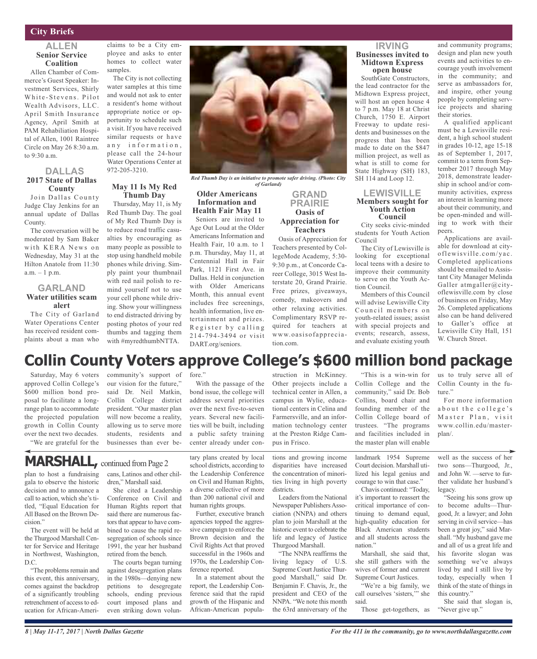## **City Briefs**

#### **ALLEN Senior Service Coalition**

Allen Chamber of Commerce's Guest Speaker: Investment Services, Shirly White-Stevens. Pilot Wealth Advisors, LLC. April Smith Insurance Agency, April Smith at PAM Rehabiliation Hospital of Allen, 1001 Raintree Circle on May 26 8:30 a.m. to 9:30 a.m.

## **DALLAS 2017 State of Dallas County**

Join Dallas County Judge Clay Jenkins for an annual update of Dallas County.

The conversation will be moderated by Sam Baker with KERA News on Wednesday, May 31 at the Hilton Anatole from 11:30 a.m. – 1 p.m.

#### **GARLAND Water utilities scam alert**

The City of Garland Water Operations Center has received resident complaints about a man who claims to be a City employee and asks to enter homes to collect water samples.

The City is not collecting water samples at this time and would not ask to enter a resident's home without appropriate notice or opportunity to schedule such a visit. If you have received similar requests or have any information, please call the 24-hour Water Operations Center at 972-205-3210.

### **May 11 Is My Red Thumb Day**

Thursday, May 11, is My Red Thumb Day. The goal of My Red Thumb Day is to reduce road traffic casualties by encouraging as many people as possible to stop using handheld mobile phones while driving. Simply paint your thumbnail with red nail polish to remind yourself not to use your cell phone while driving. Show your willingness to end distracted driving by posting photos of your red thumbs and tagging them with #myredthumbNTTA.



*Red Thumb Day is an initiative to promote safer driving. (Photo: City of Garland)*

#### **Older Americans Information and Health Fair May 11** Seniors are invited to

Age Out Loud at the Older Americans Information and Health Fair, 10 a.m. to 1 p.m. Thursday, May 11, at Centennial Hall in Fair Park, 1121 First Ave. in Dallas. Held in conjunction with Older Americans Month, this annual event includes free screenings, health information, live entertainment and prizes. Register by calling 214-794-3494 or visit DART.org/seniors.

## **GRAND PRAIRIE Oasis of Appreciation for Teachers**

Oasis of Appreciation for Teachers presented by CollegeMode Academy, 5:30- 9:30 p.m., at Concorde Career College, 3015 West Interstate 20, Grand Prairie. Free prizes, giveaways, comedy, makeovers and other relaxing activities. Complimentary RSVP required for teachers at www.oasisofappreciation.com.

#### **IRVING Businesses invited to Midtown Express open house**

SouthGate Constructors, the lead contractor for the Midtown Express project, will host an open house 4 to 7 p.m. May 18 at Christ Church, 1750 E. Airport Freeway to update residents and businesses on the progress that has been made to date on the \$847 million project, as well as what is still to come for State Highway (SH) 183, SH 114 and Loop 12.

#### **LEWISVILLE Members sought for Youth Action Council**

City seeks civic-minded students for Youth Action Council

The City of Lewisville is looking for exceptional local teens with a desire to improve their community to serve on the Youth Action Council.

Members of this Council will advise Lewisville City Council members on youth-related issues; assist with special projects and events; research, assess, and evaluate existing youth

and community programs; design and plan new youth events and activities to encourage youth involvement in the community; and serve as ambassadors for, and inspire, other young people by completing service projects and sharing their stories.

A qualified applicant must be a Lewisville resident, a high school student in grades 10-12, age 15-18 as of September 1, 2017, commit to a term from September 2017 through May 2018, demonstrate leadership in school and/or community activities, express an interest in learning more about their community, and be open-minded and willing to work with their peers.

Applications are available for download at cityoflewisville.com/yac. Completed applications should be emailed to Assistant City Manager Melinda Galler atmgaller@cityoflewisville.com by close of business on Friday, May 26. Completed applications also can be hand delivered to Galler's office at Lewisville City Hall, 151 W. Church Street.

## **Collin County Voters approve College's \$600 million bond package**

Saturday, May 6 voters approved Collin College's \$600 million bond proposal to facilitate a longrange plan to accommodate the projected population growth in Collin County over the next two decades. "We are grateful for the community's support of our vision for the future," said Dr. Neil Matkin, Collin College district president. "Our master plan will now become a reality, allowing us to serve more students, residents and businesses than ever be-

## **MARSHALL**, continued from Page 2

plan to host a fundraising gala to observe the historic decision and to announce a call to action, which she's titled, "Equal Education for All Based on the Brown Decision."

The event will be held at the Thurgood Marshall Center for Service and Heritage in Northwest, Washington, D.C.

"The problems remain and this event, this anniversary, comes against the backdrop of a significantly troubling retrenchment of access to education for African-Ameri-

cans, Latinos and other children," Marshall said.

She cited a Leadership Conference on Civil and Human Rights report that said there are numerous factors that appear to have combined to cause the rapid resegregation of schools since 1991, the year her husband retired from the bench. The courts began turning against desegregation plans in the 1980s—denying new petitions to desegregate schools, ending previous court imposed plans and even striking down volun-

tary plans created by local school districts, according to the Leadership Conference on Civil and Human Rights, a diverse collective of more center already under con-

With the passage of the bond issue, the college will address several priorities over the next five-to-seven years. Several new facilities will be built, including a public safety training

fore."

than 200 national civil and human rights groups.

Further, executive branch agencies topped the aggressive campaign to enforce the Brown decision and the Civil Rights Act that proved successful in the 1960s and 1970s, the Leadership Con-

In a statement about the report, the Leadership Conference said that the rapid growth of the Hispanic and African-American popula-

ference reported.

Other projects include a technical center in Allen, a campus in Wylie, educational centers in Celina and Farmersville, and an information technology center at the Preston Ridge Campus in Frisco.

struction in McKinney.

tions and growing income disparities have increased the concentration of minorities living in high poverty districts.

Leaders from the National Newspaper Publishers Association (NNPA) and others plan to join Marshall at the historic event to celebrate the life and legacy of Justice Thurgood Marshall.

"The NNPA reaffirms the living legacy of U.S. Supreme Court Justice Thurgood Marshall," said Dr. Benjamin F. Chavis, Jr., the president and CEO of the NNPA. "We note this month the 63rd anniversary of the

"This is a win-win for Collin College and the community," said Dr. Bob Collins, board chair and founding member of the Collin College board of trustees. "The programs and facilities included in the master plan will enable

landmark 1954 Supreme Court decision. Marshall utilized his legal genius and courage to win that case."

Chavis continued: "Today, it's important to reassert the critical importance of continuing to demand equal, high-quality education for Black American students and all students across the nation<sup>?</sup>

Marshall, she said that, she still gathers with the wives of former and current Supreme Court Justices.

"We're a big family, we call ourselves 'sisters,'" she said.

Those get-togethers, as

www.collin.edu/masterplan/.

us to truly serve all of Collin County in the fu-

For more information about the college's Master Plan, visit

ture."

well as the success of her two sons—Thurgood, Jr., and John W. —serve to further validate her husband's legacy.

"Seeing his sons grow up to become adults—Thurgood, Jr. a lawyer; and John serving in civil service—has been a great joy," said Marshall. "My husband gave me and all of us a great life and his favorite slogan was something we've always lived by and I still live by today, especially when I think of the state of things in this country."

She said that slogan is, "Never give up."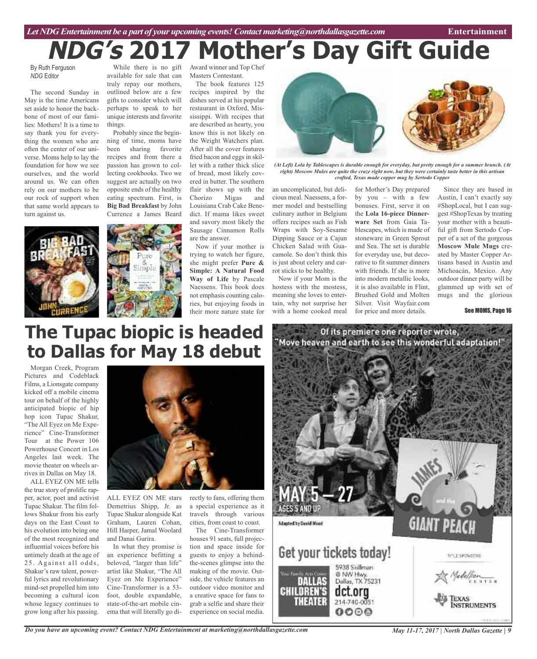## *Let NDG Entertainment be a part of your upcoming events!Contactmarketing@northdallasgazette.com* **Entertainment**

# **NDG's 2017 Mother's Day Gift Guide**

By Ruth Ferguson *NDG* Editor

The second Sunday in May is the time Americans set aside to honor the backbone of most of our families: Mothers! It is a time to say thank you for everything the women who are often the center of our universe. Moms help to lay the foundation for how we see ourselves, and the world around us. We can often rely on our mothers to be our rock of support when that same world appears to turn against us.

While there is no gift available for sale that can truly repay our mothers, outlined below are a few gifts to consider which will perhaps to speak to her unique interests and favorite things.

Probably since the beginning of time, moms have been sharing favorite recipes and from there a passion has grown to collecting cookbooks. Two we suggest are actually on two opposite ends of the healthy eating spectrum. First, is **Big Bad Breakfast** by John Currence a James Beard



Award winner and Top Chef Masters Contestant.

The book features 125 recipes inspired by the dishes served at his popular restaurant in Oxford, Mississippi. With recipes that are described as hearty, you know this is not likely on the Weight Watchers plan. After all the cover features fried bacon and eggs in skillet with a rather thick slice of bread, most likely covered in butter. The southern flair shows up with the Chorizo Migas and Louisiana Crab Cake Benedict. If mama likes sweet and savory most likely the Sausage Cinnamon Rolls are the answer.

Now if your mother is trying to watch her figure, she might prefer **Pure & Simple: A Natural Food Way of Life** by Pascale Naessens. This book does not emphasis counting calories, but enjoying foods in their more nature state for

(At Left) Lola by Tablescapes is durable enough for everyday, but pretty enough for a summer brunch. (At right) Moscow Mules are quite the craze right now, but they were certainly taste better in this artisan *crafted, Texas made copper mug by Sertodo Copper*

an uncomplicated, but delicious meal. Naessens, a former model and bestselling culinary author in Belgium offers recipes such as Fish Wraps with Soy-Sesame Dipping Sauce or a Cajun Chicken Salad with Guacamole. So don't think this is just about celery and carrot sticks to be healthy.

Now if your Mom is the hostess with the mostess, meaning she loves to entertain, why not surprise her with a home cooked meal

for Mother's Day prepared by you – with a few bonuses. First, serve it on the **Lola 16-piece Dinnerware Set** from Gaia Tablescapes, which is made of stoneware in Green Sprout and Sea. The set is durable for everyday use, but decorative to fit summer dinners with friends. If she is more into modern metallic looks, it is also available in Flint, Brushed Gold and Molten Silver. Visit Wayfair.com for price and more details.

Since they are based in Austin, I can't exactly say #ShopLocal, but I can suggest #ShopTexas by treating your mother with a beautiful gift from Sertodo Copper of a set of the gorgeous **Moscow Mule Mugs** created by Master Copper Artisans based in Austin and Michoacán, Mexico. Any outdoor dinner party will be glammed up with set of mugs and the glorious

See MOMS, Page 16

# **The Tupac biopic is headed to Dallas for May 18 debut**

Morgan Creek, Program Pictures and Codeblack Films, a Lionsgate company kicked off a mobile cinema tour on behalf of the highly anticipated biopic of hip hop icon Tupac Shakur, "The All Eyez on Me Experience" Cine-Transformer Tour at the Power 106 Powerhouse Concert in Los Angeles last week. The movie theater on wheels arrives in Dallas on May 18.

ALL EYEZ ON ME tells the true story of prolific rapper, actor, poet and activist Tupac Shakur. The film follows Shakur from his early days on the East Coast to his evolution into being one of the most recognized and influential voices before his untimely death at the age of 25. Against all odds, Shakur's raw talent, powerful lyrics and revolutionary mind-set propelled him into becoming a cultural icon whose legacy continues to grow long after his passing.



ALL EYEZ ON ME stars rectly to fans, offering them Demetrius Shipp, Jr. as Tupac Shakur alongside Kat Graham, Lauren Cohan, Hill Harper, Jamal Woolard and Danai Gurira.

In what they promise is an experience befitting a beloved, "larger than life" artist like Shakur, "The All Eyez on Me Experience" Cine-Transformer is a 53 foot, double expandable, state-of-the-art mobile cinema that will literally go dia special experience as it travels through various cities, from coast to coast.

The Cine-Transformer houses 91 seats, full projection and space inside for guests to enjoy a behindthe-scenes glimpse into the making of the movie. Outside, the vehicle features an outdoor video monitor and a creative space for fans to grab a selfie and share their experience on social media.



*Do you have an upcoming event? Contact NDG Entertainment at marketing@northdallasgazette.com*

*May 11-17, 2017 | North Dallas Gazette | 9*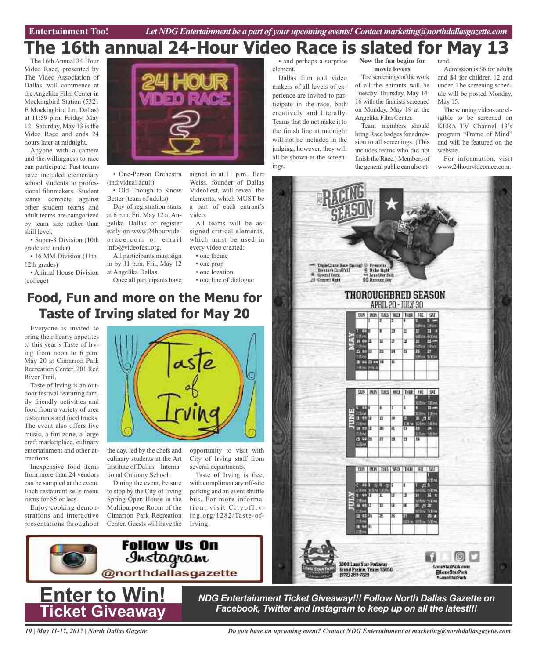## tend. **The 16th annual 24-Hour Video Race is slated for May 13**

The 16th Annual 24-Hour Video Race, presented by The Video Association of Dallas, will commence at the Angelika Film Center in Mockingbird Station (5321 E Mockingbird Ln, Dallas) at 11:59 p.m. Friday, May 12. Saturday, May 13 is the Video Race and ends 24 hours later at midnight.

Anyone with a camera and the willingness to race can participate. Past teams have included elementary school students to professional filmmakers. Student teams compete against other student teams and adult teams are categorized by team size rather than skill level.

• Super-8 Division (10th grade and under)

• 16 MM Division (11th-12th orades)

• Animal House Division

(college)



• One-Person Orchestra (individual adult)

• Old Enough to Know Better (team of adults)

Day-of registration starts at 6 p.m. Fri. May 12 at Angelika Dallas or register early on www.24hourvideorace.com or email info@videofest.org.

All participants must sign in by 11 p.m. Fri., May 12 at Angelika Dallas. Once all participants have

signed in at 11 p.m., Bart Weiss, founder of Dallas VideoFest, will reveal the elements, which MUST be a part of each entrant's video.

All teams will be assigned critical elements, which must be used in every video created:

- one theme
- one prop
- one location

• one line of dialogue

## **Food, Fun and more on the Menu for Taste of Irving slated for May 20**

Everyone is invited to bring their hearty appetites to this year's Taste of Irving from noon to 6 p.m. May 20 at Cimarron Park Recreation Center, 201 Red River Trail.

Taste of Irving is an outdoor festival featuring family friendly activities and food from a variety of area restaurants and food trucks. The event also offers live music, a fun zone, a large craft marketplace, culinary entertainment and other attractions.

Inexpensive food items from more than 24 vendors can be sampled at the event. Each restaurant sells menu items for \$5 or less.

Enjoy cooking demonstrations and interactive presentations throughout



the day, led by the chefs and culinary students at the Art Institute of Dallas – International Culinary School.

During the event, be sure to stop by the City of Irving Spring Open House in the Multipurpose Room of the Cimarron Park Recreation Center. Guests will have the opportunity to visit with City of Irving staff from several departments.

Taste of Irving is free, with complimentary off-site parking and an event shuttle bus. For more information, visit CityofIrving.org/1282/Taste-of-Irving.



Dallas film and video makers of all levels of experience are invited to participate in the race, both creatively and literally. Teams that do not make it to the finish line at midnight will not be included in the judging; however, they will all be shown at the screenings.

**Now the fun begins for movie lovers**

The screenings of the work of all the entrants will be Tuesday-Thursday, May 14- 16 with the finalists screened on Monday, May 19 at the Angelika Film Center.

Team members should bring Race badges for admission to all screenings. (This includes teams who did not finish the Race.) Members of the general public can also at-

Admission is \$6 for adults and \$4 for children 12 and under. The screening schedule will be posted Monday, May 15.

The winning videos are eligible to be screened on KERA–TV Channel 13's program "Frame of Mind" and will be featured on the website.

For information, visit www.24hourvideorace.com.





*NDG Entertainment Ticket Giveaway!!! Follow North Dallas Gazette on Facebook, Twitter and Instagram to keep up on all the latest!!!*

*10 | May 11-17, 2017 | North Dallas Gazette*

**Ticket Giveaway**

*Do you have an upcoming event? Contact NDG Entertainment at marketing@northdallasgazette.com*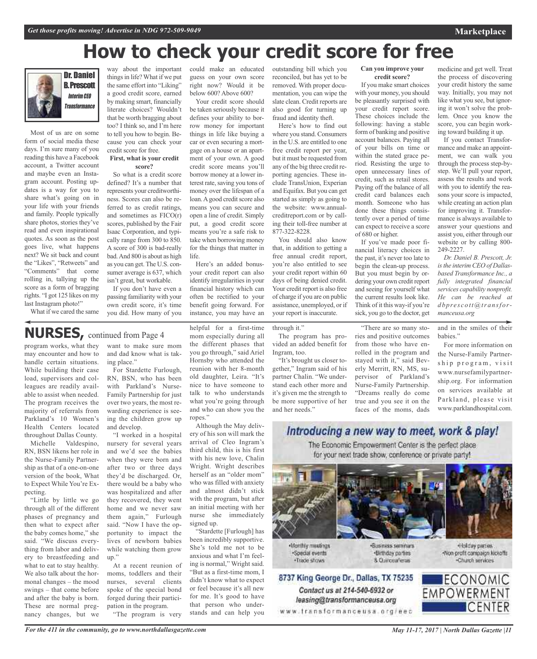# **How to check your credit score for free**



Most of us are on some form of social media these days. I'm sure many of you reading this have a Facebook account, a Twitter account and maybe even an Instagram account. Posting updates is a way for you to share what's going on in your life with your friends and family. People typically share photos, stories they've read and even inspirational quotes. As soon as the post goes live, what happens next? We sit back and count the "Likes", "Retweets" and "Comments" that come rolling in, tallying up the score as a form of bragging rights. "I got 125 likes on my last Instagram photo!"

things in life? What if we put the same effort into "Liking" a good credit score, earned by making smart, financially literate choices? Wouldn't that be worth bragging about too? I think so, and I'm here to tell you how to begin. Because you can check your credit score for free.

#### **First, what is your credit score?**

So what is a credit score defined? It's a number that represents your creditworthiness. Scores can also be referred to as credit ratings, and sometimes as FICO(r) scores, published by the Fair Isaac Corporation, and typically range from 300 to 850. A score of 300 is bad-really bad.And 800 is about as high as you can get. The U.S. consumer average is 637, which isn't great, but workable.

If you don't have even a passing familiarity with your own credit score, it's time you did. How many of you

#### way about the important could make an educated guess on your own score right now? Would it be below 600? Above 600?

Your credit score should be taken seriously because it defines your ability to borrow money for important things in life like buying a car or even securing a mortgage on a house or an apartment of your own. A good credit score means you'll borrow money at a lower interest rate, saving you tons of money over the lifespan of a loan. A good credit score also means you can secure and open a line of credit. Simply put, a good credit score means you're a safe risk to take when borrowing money for the things that matter in life.

Here's an added bonusyour credit report can also identify irregularities in your financial history which can often be rectified to your benefit going forward. For instance, you may have an outstanding bill which you reconciled, but has yet to be removed. With proper documentation, you can wipe the slate clean. Credit reports are also good for turning up fraud and identity theft.

Here's how to find out where you stand. Consumers in the U.S. are entitled to one free credit report per year, but it must be requested from any of the big three credit reporting agencies. These include TransUnion, Experian and Equifax. But you can get started as simply as going to the website: www.annualcreditreport.com or by calling their toll-free number at 877-322-8228.

You should also know that, in addition to getting a free annual credit report, you're also entitled to see your credit report within 60 days of being denied credit. Your credit report is also free of charge if you are on public assistance, unemployed, or if your report is inaccurate.

through it."

vided an added benefit for "It's brought us closer tobe more supportive of her and her needs."

**Can you improve your credit score?**

If you make smart choices with your money, you should be pleasantly surprised with your credit report score. These choices include the following: having a stable form of banking and positive account balances. Paying all of your bills on time or within the stated grace period. Resisting the urge to open unnecessary lines of credit, such as retail stores. Paying off the balance of all credit card balances each month. Someone who has done these things consistently over a period of time can expect to receive a score of 680 or higher.

If you've made poor financial literacy choices in the past, it's never too late to begin the clean-up process. But you must begin by ordering your own credit report and seeing for yourself what the current results look like. Think of it this way-if you're sick, you go to the doctor, get

"There are so many stories and positive outcomes from those who have enrolled in the program and stayed with it," said Beverly Merritt, RN, MS, supervisor of Parkland's Nurse-Family Partnership. "Dreams really do come true and you see it on the faces of the moms, dads

medicine and get well. Treat the process of discovering your credit history the same way. Initially, you may not like what you see, but ignoring it won't solve the problem. Once you know the score, you can begin working toward building it up.

If you contact Transformance and make an appointment, we can walk you through the process step-bystep. We'll pull your report, assess the results and work with you to identify the reasons your score is impacted, while creating an action plan for improving it. Transformance is always available to answer your questions and assist you, either through our website or by calling 800- 249-2227.

*Dr. Daniel B. Prescott, Jr. isthe interim CEO of Dallasbased Transformance Inc., a fully integrated financial services capability nonprofit. He can be reached at dbpre s cott@transformanceusa.org*

and in the smiles of their babies."

For more information on the Nurse-Family Partnership program, visit www.nursefamilypartnership.org. For information on services available at Parkland, please visit www.parklandhospital.com.

# **NURSES,** continued from Page <sup>4</sup>

program works, what they may encounter and how to handle certain situations. While building their case load, supervisors and colleagues are readily available to assist when needed. The program receives the majority of referrals from Parkland's 10 Women's Health Centers located throughout Dallas County.

What if we cared the same

Michelle Valdespino, RN, BSN likens her role in the Nurse-Family Partnership as that of a one-on-one version of the book, What to Expect While You're Expecting.

"Little by little we go through all of the different phases of pregnancy and then what to expect after the baby comes home," she said. "We discuss everything from labor and delivery to breastfeeding and what to eat to stay healthy. We also talk about the hormonal changes – the mood swings – that come before and after the baby is born. These are normal pregnancy changes, but we

want to make sure mom and dad know what is taking place."

For Stardette Furlough, RN, BSN, who has been with Parkland's Nurse-Family Partnership for just over two years, the most rewarding experience is seeing the children grow up and develop.

"I worked in a hospital nursery for several years and we'd see the babies when they were born and after two or three days they'd be discharged. Or, there would be a baby who was hospitalized and after they recovered, they went home and we never saw them again," Furlough said. "Now I have the opportunity to impact the lives of newborn babies while watching them grow up."

At a recent reunion of moms, toddlers and their nurses, several clients spoke of the special bond forged during their participation in the program.

"The program is very

helpful for a first-time mom especially during all the different phases that you go through," said Ariel Hornsby who attended the reunion with her 8-month old daughter, Leira. "It's nice to have someone to talk to who understands what you're going through and who can show you the ropes."

Although the May delivery of his son will mark the arrival of Cleo Ingram's third child, this is his first with his new love, Chalin Wright. Wright describes herself as an "older mom" who was filled with anxiety and almost didn't stick with the program, but after an initial meeting with her nurse she immediately signed up.

"Stardette [Furlough] has been incredibly supportive. She's told me not to be anxious and what I'm feeling is normal," Wright said. "But as a first-time mom, I didn't know what to expect or feel because it's all new for me. It's good to have that person who understands and can help you

## The program has pro-

Ingram, too. gether," Ingram said of his partner Chalin. "We understand each other more and it's given me the strength to

> The Economic Empowerment Center is the perfect place for your next trade show, conference or private party!

Introducing a new way to meet, work & play!

Monthly meetings ·Special events · Trade shows

8. Curiceaferas

Contact us at 214-540-6932 or

leasing@transformanceusa.org

«Business sectorum». Holday parties. ·Birthday parties -Non-profit campaign kickoffs



Church terrices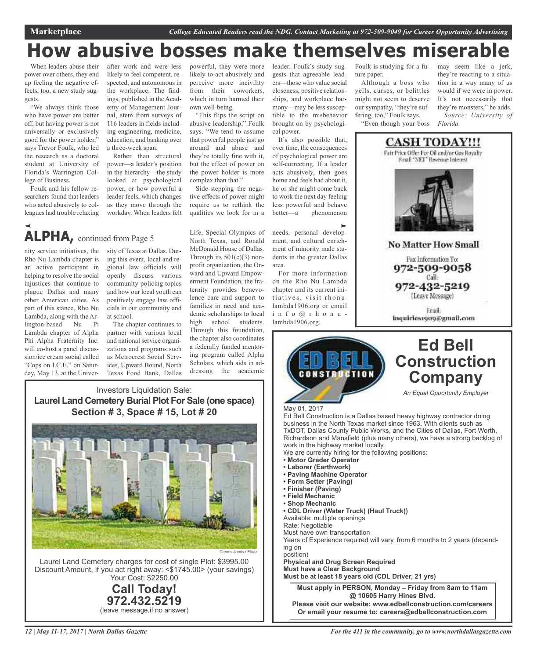# **How abusive bosses make themselves miserable**

When leaders abuse their power over others, they end up feeling the negative effects, too, a new study suggests.

"We always think those who have power are better off, but having power is not universally or exclusively good for the power holder," says Trevor Foulk, who led the research as a doctoral student at University of Florida's Warrington College of Business.

Foulk and his fellow researchers found that leaders who acted abusively to colleagues had trouble relaxing

after work and were less likely to feel competent, respected, and autonomous in the workplace. The findings, published in the Academy of Management Journal, stem from surveys of 116 leaders in fields including engineering, medicine, education, and banking over a three-week span.

Rather than structural power—a leader's position in the hierarchy—the study looked at psychological power, or how powerful a leader feels, which changes as they move through the workday. When leaders felt

powerful, they were more likely to act abusively and perceive more incivility from their coworkers, which in turn harmed their own well-being.

"This flips the script on abusive leadership," Foulk says. "We tend to assume that powerful people just go around and abuse and they're totally fine with it, but the effect of power on the power holder is more complex than that."

Side-stepping the negative effects of power might require us to rethink the qualities we look for in a

Life, Special Olympics of North Texas, and Ronald McDonald House of Dallas. Through its  $501(c)(3)$  nonprofit organization, the Onward and Upward Empowleader. Foulk's study suggests that agreeable leaders—those who value social closeness, positive relationships, and workplace harmony—may be less susceptible to the misbehavior brought on by psychological power.

It's also possible that, over time, the consequences of psychological power are self-correcting. If a leader acts abusively, then goes home and feels bad about it, he or she might come back to work the next day feeling less powerful and behave better—a phenomenon

needs, personal development, and cultural enrichment of minority male students in the greater Dallas area.

For more information on the Rho Nu Lambda chapter and its current initiatives, visit rhonulambda1906.org or email i n f o @ r h o n u lambda1906.org.

Foulk is studying for a future paper.

Although a boss who yells, curses, or belittles might not seem to deserve our sympathy, "they're suffering, too," Foulk says.

"Even though your boss

may seem like a jerk, they're reacting to a situation in a way many of us would if we were in power. It's not necessarily that they're monsters," he adds. *Source: University of Florida*



**No Matter How Small** 

Fax Information To: 972-509-9058 Call: 972-432-5219 (Leave Message)

Email: inquiries1909@gmail.com



### May 01, 2017

Ed Bell Construction is a Dallas based heavy highway contractor doing business in the North Texas market since 1963. With clients such as TxDOT, Dallas County Public Works, and the Cities of Dallas, Fort Worth, Richardson and Mansfield (plus many others), we have a strong backlog of work in the highway market locally.

- We are currently hiring for the following positions:
- **• Motor Grader Operator**
- **• Laborer (Earthwork)**
- **• Paving Machine Operator**
- **• Form Setter (Paving)**
- **• Finisher (Paving)**
- **• Field Mechanic**
- **• Shop Mechanic**
- **• CDL Driver (Water Truck) (Haul Truck))** Available: multiple openings
- Rate: Negotiable

Must have own transportation

Years of Experience required will vary, from 6 months to 2 years (depending on

position)

**Physical and Drug Screen Required Must have a Clear Background Must be at least 18 years old (CDL Driver, 21 yrs)**

**Must apply in PERSON, Monday – Friday from 8am to 11am @ 10605 Harry Hines Blvd. Please visit our website: www.edbellconstruction.com/careers Or email your resume to: careers@edbellconstruction.com**

## **ALPHA,** continued from Page <sup>5</sup>

nity service initiatives, the Rho Nu Lambda chapter is an active participant in helping to resolve the social injustices that continue to plague Dallas and many other American cities. As part of this stance, Rho Nu Lambda, along with the Arlington-based Nu Pi Lambda chapter of Alpha Phi Alpha Fraternity Inc. will co-host a panel discussion/ice cream social called "Cops on I.C.E." on Saturday, May 13, at the Univer-

sity of Texas at Dallas. During this event, local and regional law officials will openly discuss various community policing topics and how our local youth can positively engage law officials in our community and at school.

The chapter continues to partner with various local and national service organizations and programs such as Metrocrest Social Services, Upward Bound, North Texas Food Bank, Dallas

erment Foundation, the fraternity provides benevolence care and support to families in need and academic scholarships to local high school students. Through this foundation, the chapter also coordinates a federally funded mentoring program called Alpha Scholars, which aids in addressing the academic

## Investors Liquidation Sale: **Laurel Land Cemetery Burial Plot For Sale (one space) Section # 3, Space # 15, Lot # 20**



Laurel Land Cemetery charges for cost of single Plot: \$3995.00 Discount Amount, if you act right away: <\$1745.00> (your savings) Your Cost: \$2250.00

**Call Today! 972.432.5219** (leave message,if no answer)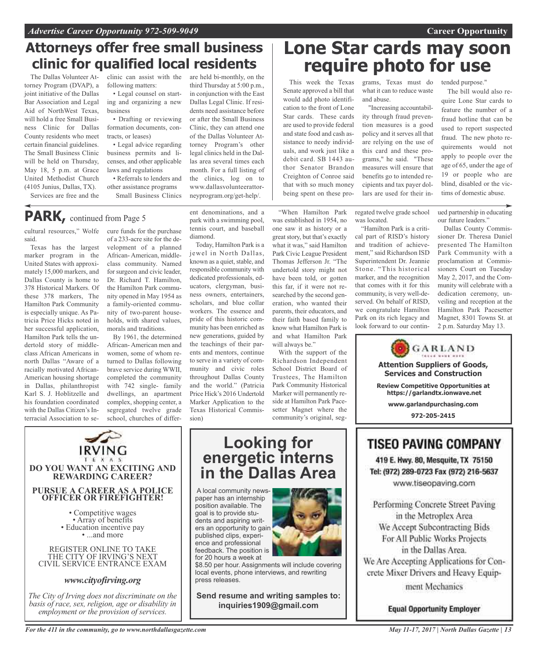## **Attorneys offer free small business clinic for qualified local residents**

The Dallas Volunteer Attorney Program (DVAP), a joint initiative of the Dallas Bar Association and Legal Aid of NorthWest Texas, will hold a free Small Business Clinic for Dallas County residents who meet certain financial guidelines. The Small Business Clinic will be held on Thursday, May 18, 5 p.m. at Grace United Methodist Church (4105 Junius, Dallas, TX).

Services are free and the

dertold story of middleclass African Americans in north Dallas "Aware of a racially motivated African-American housing shortage in Dallas, philanthropist Karl S. J. Hoblitzelle and his foundation coordinated with the Dallas Citizen's Interracial Association to se-

said.

clinic can assist with the following matters:

• Legal counsel on starting and organizing a new business

• Drafting or reviewing formation documents, contracts, or leases)

• Legal advice regarding business permits and licenses, and other applicable laws and regulations

• Referrals to lenders and other assistance programs Small Business Clinics are held bi-monthly, on the third Thursday at 5:00 p.m., in conjunction with the East Dallas Legal Clinic. If residents need assistance before or after the Small Business Clinic, they can attend one of the Dallas Volunteer Attorney Program's other legal clinics held in the Dallas area several times each month. For a full listing of the clinics, log on to www.dallasvolunteerattorneyprogram.org/get-help/.

ent denominations, and a

ents and mentors, continue to serve in a variety of community and civic roles throughout Dallas County and the world." (Patricia Price Hick's 2016 Undertold Marker Application to the Texas Historical Commis-

# **Lone Star cards may soon require photo for use**

This week the Texas Senate approved a bill that would add photo identification to the front of Lone Star cards. These cards are used to provide federal and state food and cash assistance to needy individuals, and work just like a debit card. SB 1443 author Senator Brandon Creighton of Conroe said that with so much money being spent on these pro-

"When Hamilton Park was established in 1954, no one saw it as history or a great story, but that's exactly

grams, Texas must do what it can to reduce waste and abuse.

"Increasing accountability through fraud prevention measures is a good policy and it serves all that are relying on the use of this card and these programs," he said. "These measures will ensure that benefits go to intended recipients and tax payer dollars are used for their in-

regated twelve grade school

"Hamilton Park is a critical part of RISD's history

was located.

tended purpose."

The bill would also require Lone Star cards to feature the number of a fraud hotline that can be used to report suspected fraud. The new photo requirements would not apply to people over the age of 65, under the age of 19 or people who are blind, disabled or the victims of domestic abuse.

ued partnership in educating our future leaders."

Dallas County Commissioner Dr. Theresa Daniel presented The Hamilton Park Community with a proclamation at Commissioners Court on Tuesday May 2, 2017, and the Community will celebrate with a dedication ceremony, unveiling and reception at the Hamilton Park Pacesetter Magnet, 8301 Towns St. at 2 p.m. Saturday May 13.

GARLAND **Attention Suppliers of Goods, Services and Construction Review Competitive Opportunities at https://garlandtx.ionwave.net**

**www.garlandpurchasing.com**

**972-205-2415**

## **TISEO PAVING COMPANY**

419 E. Hwy. 80, Mesquite, TX 75150 Tel: (972) 289-0723 Fax (972) 216-5637 www.tiseopaving.com

Performing Concrete Street Paving in the Metroplex Area We Accept Subcontracting Bids For All Public Works Projects in the Dallas Area. We Are Accepting Applications for Concrete Mixer Drivers and Heavy Equipment Mechanics

**Equal Opportunity Employer** 

*May 11-17, 2017 | North Dallas Gazette | 13*

cultural resources," Wolfe Texas has the largest marker program in the United States with approximately 15,000 markers, and Dallas County is home to 378 Historical Markers. Of cure funds for the purchase of a 233-acre site for the development of a planned African- American, middleclass community. Named for surgeon and civic leader, Dr. Richard T. Hamilton, the Hamilton Park commu-PARK, continued from Page 5

these 378 markers, The Hamilton Park Community is especially unique. As Patricia Price Hicks noted in her successful application, Hamilton Park tells the unnity opened in May 1954 as a family-oriented community of two-parent households, with shared values, morals and traditions.

African- American men and women, some of whom returned to Dallas following brave service during WWII, completed the community with 742 single- family dwellings, an apartment complex, shopping center, a segregated twelve grade school, churches of differ-

park with a swimming pool, tennis court, and baseball diamond. Today, Hamilton Park is a jewel in North Dallas, known as a quiet, stable, and responsible community with

sion)

By 1961, the determined dedicated professionals, educators, clergyman, business owners, entertainers, scholars, and blue collar workers. The essence and pride of this historic community has been enriched as new generations, guided by the teachings of their par-

## **Looking for energetic interns in the Dallas Area**

A local community newspaper has an internship position available. The goal is to provide students and aspiring writers an opportunity to gain published clips, experience and professional feedback. The position is for 20 hours a week at

\$8.50 per hour. Assignments will include covering local events, phone interviews, and rewriting press releases.

**Send resume and writing samples to: inquiries1909@gmail.com**





what it was," said Hamilton Park Civic League President Thomas Jefferson Jr. "The undertold story might not have been told, or gotten this far, if it were not researched by the second generation, who wanted their parents, their educators, and their faith based family to know what Hamilton Park is and what Hamilton Park and tradition of achievement," said Richardson ISD Superintendent Dr. Jeannie Stone. "This historical marker, and the recognition that comes with it for this community, is very well-deserved. On behalf of RISD, we congratulate Hamilton Park on its rich legacy and look forward to our contin-

will always be." With the support of the Richardson Independent School District Board of Trustees, The Hamilton Park Community Historical Marker will permanently reside at Hamilton Park Pacesetter Magnet where the community's original, seg-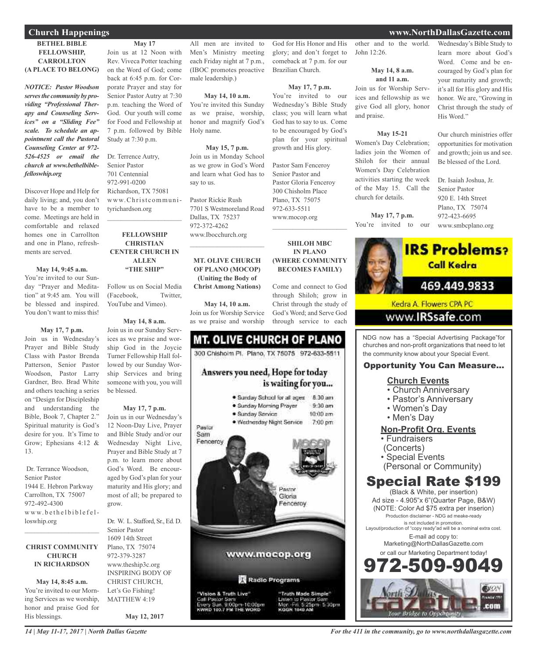## **Church Happenings www.NorthDallasGazette.com**

## **BETHEL BIBLE FELLOWSHIP, CARROLLTON (A PLACE TO BELONG)**

*NOTICE: Pastor Woodson servesthe community by providing "Professional Therapy and Counseling Services" on a "Sliding Fee" scale. To schedule an appointment call the Pastoral Counseling Center at 972- 526-4525 or email the church at www.bethelbiblefelloswhip.org*

Discover Hope and Help for daily living; and, you don't have to be a member to come. Meetings are held in comfortable and relaxed homes one in Carrollton and one in Plano, refreshments are served.

#### **May 14, 9:45 a.m.**

You're invited to our Sunday "Prayer and Meditation" at 9:45 am. You will be blessed and inspired. You don't want to miss this!

**May 17, 7 p.m.** Join us in Wednesday's Prayer and Bible Study Class with Pastor Brenda Patterson, Senior Pastor Woodson, Pastor Larry Gardner, Bro. Brad White and others teaching a series on "Design for Discipleship and understanding the Bible, Book 7, Chapter 2." Spiritual maturity is God's desire for you. It's Time to Grow; Ephesians 4:12 & 13.

Dr. Terrance Woodson, Senior Pastor 1944 E. Hebron Parkway Carrollton, TX 75007 972-492-4300 www.bethelbiblefelloswhip.org

### **CHRIST COMMUNITY CHURCH IN RICHARDSON**

 $\mathcal{L}_\text{max}$  , which is a set of the set of the set of the set of the set of the set of the set of the set of the set of the set of the set of the set of the set of the set of the set of the set of the set of the set of

**May 14, 8:45 a.m.** You're invited to our Morning Services as we worship, honor and praise God for His blessings.

## **May 17**

Join us at 12 Noon with Rev. Viveca Potter teaching on the Word of God; come back at 6:45 p.m. for Corporate Prayer and stay for Senior Pastor Autry at 7:30 p.m. teaching the Word of God. Our youth will come for Food and Fellowship at 7 p.m. followed by Bible Study at 7:30 p.m.

Dr. Terrence Autry, Senior Pastor 701 Centennial 972-991-0200 Richardson, TX 75081 www.Christcommunityrichardson.org

## **FELLOWSHIP CHRISTIAN CENTER CHURCH IN ALLEN "THE SHIP"**

 $\mathcal{L}_\text{max}$  , which is a set of the set of the set of the set of the set of the set of the set of the set of the set of the set of the set of the set of the set of the set of the set of the set of the set of the set of

Follow us on Social Media (Facebook, Twitter, YouTube and Vimeo).

#### **May 14, 8 a.m.**

Join us in our Sunday Services as we praise and worship God in the Joycie Turner Fellowship Hall followed by our Sunday Worship Services and bring someone with you, you will be blessed.

**May 17, 7 p.m.** Join us in our Wednesday's 12 Noon-Day Live, Prayer and Bible Study and/or our Wednesday Night Live, Prayer and Bible Study at 7 p.m. to learn more about God's Word. Be encouraged by God's plan for your maturity and His glory; and most of all; be prepared to grow.

Dr. W. L. Stafford, Sr., Ed. D. Senior Pastor 1609 14th Street Plano, TX 75074 972-379-3287 www.theship3c.org INSPIRING BODY OF CHRIST CHURCH, Let's Go Fishing! MATTHEW 4:19

**May 12, 2017**

All men are invited to Men's Ministry meeting each Friday night at 7 p.m., (IBOC promotes proactive male leadership.)

**May 14, 10 a.m.** You're invited this Sunday as we praise, worship, honor and magnify God's Holy name.

**May 15, 7 p.m.** Join us in Monday School as we grow in God's Word and learn what God has to say to us.

Pastor Rickie Rush 7701 S Westmoreland Road Dallas, TX 75237 972-372-4262 www.Ibocchurch.org

## **MT. OLIVE CHURCH OF PLANO (MOCOP) (Uniting the Body of Christ Among Nations)**

 $\overline{\phantom{a}}$  , which is a set of the set of the set of the set of the set of the set of the set of the set of the set of the set of the set of the set of the set of the set of the set of the set of the set of the set of th

**May 14, 10 a.m.** Join us for Worship Service as we praise and worship

## **MT. OLIVE CHURCH OF PLANO** 300 Chishoim Pl. Plano, TX 75075 972-633-5511 Answers you need, Hope for today is waiting for you... · Sunday School for all ages 8:30 am  $9-30$  am · Sunday Morning Prayer  $10:00$  am · Sunday Service · Wednesday Night Service 7:00 pm Pastor Sam Fencerov Pastor Gloria Fenceroy www.mocop.org Radio Programs Vision & Truth Live" "Truth Made Simple" 5:30pm

KODN 1040 AL

Pastor Sam<br>y Sun, 9:00pm-10:00pm<br>to 1es.7 FM THE WORD

God for His Honor and His glory; and don't forget to comeback at 7 p.m. for our Brazilian Church.

#### **May 17, 7 p.m.**

You're invited to our Wednesday's Bible Study class; you will learn what God has to say to us. Come to be encouraged by God's plan for your spiritual growth and His glory.

Pastor Sam Fenceroy Senior Pastor and Pastor Gloria Fenceroy 300 Chisholm Place Plano, TX 75075 972-633-5511 www.mocop.org

**SHILOH MBC IN PLANO (WHERE COMMUNITY BECOMES FAMILY)**

 $\overline{\phantom{a}}$  , and the set of the set of the set of the set of the set of the set of the set of the set of the set of the set of the set of the set of the set of the set of the set of the set of the set of the set of the s

Come and connect to God through Shiloh; grow in Christ through the study of God's Word; and Serve God through service to each other and to the world. John 12:26.

#### **May 14, 8 a.m. and 11 a.m.**

Join us for Worship Services and fellowship as we give God all glory, honor and praise.

#### **May 15-21**

Women's Day Celebration; ladies join the Women of Shiloh for their annual Women's Day Celebration activities starting the week of the May 15. Call the church for details.

**May 17, 7 p.m.** You're invited to our

Wednesday's Bible Study to learn more about God's Word. Come and be encouraged by God's plan for your maturity and growth; it's all for His glory and His honor. We are, "Growing in Christ through the study of His Word."

Our church ministries offer opportunities for motivation and growth; join us and see. Be blessed of the Lord.

Dr. Isaiah Joshua, Jr. Senior Pastor 920 E. 14th Street Plano, TX 75074 972-423-6695 www.smbcplano.org



## the community know about your Special Event.

## Opportunity You Can Measure...

## **Church Events**

- Church Anniversary
- Pastor's Anniversary
- Women's Day
- Men's Day

## **Non-Profit Org. Events**

- Fundraisers
- (Concerts)
- Special Events
- (Personal or Community)

## Special Rate \$199

(Black & White, per insertion) Ad size - 4.905"x 6"(Quarter Page, B&W) (NOTE: Color Ad \$75 extra per inserion) Production disclaimer - NDG ad meake-ready is not included in promotion. Layout/production of "copy ready"ad will be a nominal extra cost. E-mail ad copy to: Marketing@NorthDallasGazette.com or call our Marketing Department today! 509-9



*For the 411 in the community, go to www.northdallasgazette.com*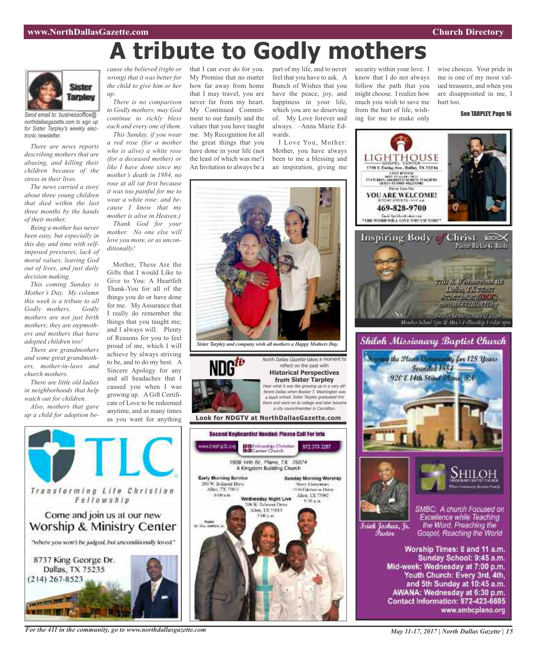wise choices. Your pride in me is one of my most valued treasures, and when you are disappointed in me, I

See TARPLEY, Page 16

hurt too.

# **A tribute to Godly mothers**



*Send email to: businessoffice@ northdallasgazette.com to sign up for Sister Tarpley's weekly electronic newsletter.*

*There are news reports describing mothers that are abusing, and killing their children because of the stress in their lives.*

*The news carried a story about three young children that died within the last three months by the hands of their mother.*

*Being a mother has never been easy, but especially in this day and time with selfimposed pressures, lack of moral values, leaving God out of lives, and just daily decision making.*

*This coming Sunday is Mother's Day. My column this week is a tribute to all Godly mothers. Godly mothers are not just birth mothers; they are stepmothers and mothers that have adopted children too!*

*There are grandmothers and some great grandmothers, mother-in-laws and church mothers.*

*There are little old ladies in neighborhoods that help watch out for children.*

*Also, mothers that gave up a child for adoption be-*

*cause she believed (right or wrong) that it was better for the child to give him or her up.*

*There is no comparison to Godly mothers; may God continue to richly bless each and every one of them.*

*This Sunday, if you wear a red rose (for a mother who is alive) a white rose (for a deceased mother) or like I have done since my mother's death in 1984, no rose at all (at first because it was too painful for me to wear a white rose; and because I know that my mother is alive in Heaven.)*

*Thank God for your mother. No one else will love you more, or as unconditionally!*

Mother, These Are the Gifts that I would Like to Give to You: A Heartfelt Thank-You for all of the things you do or have done for me. My Assurance that I really do remember the things that you taught me; and I always will. Plenty of Reasons for you to feel proud of me, which I will achieve by always striving to be, and to do my best. A Sincere Apology for any and all headaches that I caused you when I was growing up. A Gift Certificate of Love to be redeemed anytime, and as many times as you want for anything

that I can ever do for you. My Promise that no matter how far away from home that I may travel, you are never far from my heart. My Continued Commitment to our family and the values that you have taught me. My Recognition for all the great things that you have done in your life (not the least of which was me!) An Invitation to always be a

part of my life, and to never feel that you have to ask. A Bunch of Wishes that you have the peace, joy, and happiness in your life, which you are so deserving of. My Love forever and always. –Anna Marie Edwards.

I Love You, Mother: Mother, you have always been to me a blessing and an inspiration, giving me







security within your love. I know that I do not always follow the path that you might choose. I realize how much you wish to save me from the hurt of life, wishing for me to make only



Īsiah Joshua, Jr.

Fustor



SMBC: A church Focused on Excellence while Teaching the Word. Preaching the Gospel, Reaching the World

Worship Times: 8 and 11 a.m. Sunday School: 9:45 a.m. Mid-week: Wednesday at 7:00 p.m. Youth Church: Every 3rd, 4th, and 5th Sunday at 10:45 a.m. AWANA: Wednesday at 6:30 p.m. Contact Information: 972-423-6695 www.smbcplano.org

*For the 411 in the community, go to www.northdallasgazette.com*

Transforming Life Christian

Fellowship

Come and join us at our new

Worship & Ministry Center

"where you won't be judged, but unconditionally loved."

8737 King George Dr.

Dallas, TX 75235

 $(214)$  267-8523

NAME AND DESCRIPTION OF